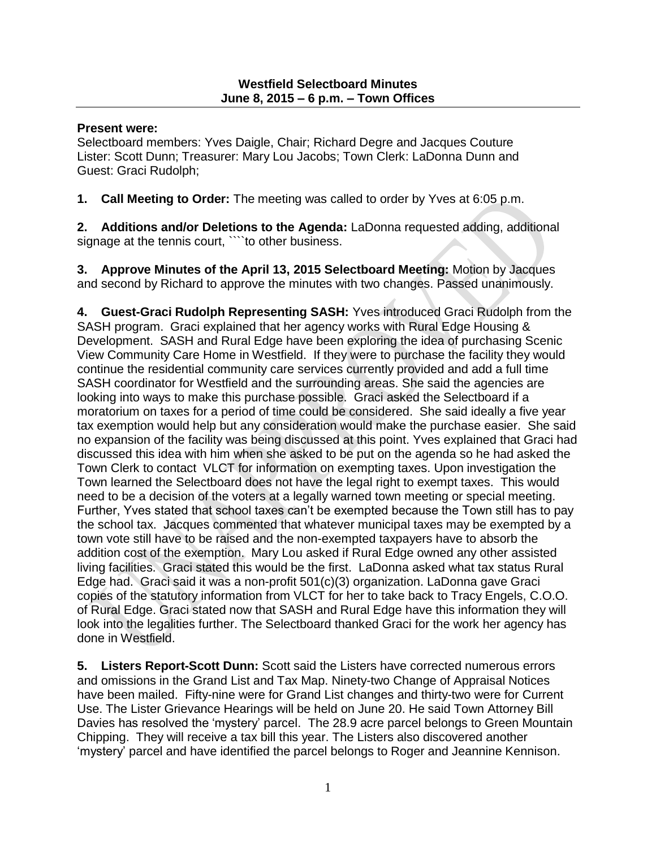#### **Present were:**

Selectboard members: Yves Daigle, Chair; Richard Degre and Jacques Couture Lister: Scott Dunn; Treasurer: Mary Lou Jacobs; Town Clerk: LaDonna Dunn and Guest: Graci Rudolph;

**1. Call Meeting to Order:** The meeting was called to order by Yves at 6:05 p.m.

**2. Additions and/or Deletions to the Agenda:** LaDonna requested adding, additional signage at the tennis court, ```to other business.

**3. Approve Minutes of the April 13, 2015 Selectboard Meeting:** Motion by Jacques and second by Richard to approve the minutes with two changes. Passed unanimously.

**4. Guest-Graci Rudolph Representing SASH:** Yves introduced Graci Rudolph from the SASH program. Graci explained that her agency works with Rural Edge Housing & Development. SASH and Rural Edge have been exploring the idea of purchasing Scenic View Community Care Home in Westfield. If they were to purchase the facility they would continue the residential community care services currently provided and add a full time SASH coordinator for Westfield and the surrounding areas. She said the agencies are looking into ways to make this purchase possible. Graci asked the Selectboard if a moratorium on taxes for a period of time could be considered. She said ideally a five year tax exemption would help but any consideration would make the purchase easier. She said no expansion of the facility was being discussed at this point. Yves explained that Graci had discussed this idea with him when she asked to be put on the agenda so he had asked the Town Clerk to contact VLCT for information on exempting taxes. Upon investigation the Town learned the Selectboard does not have the legal right to exempt taxes. This would need to be a decision of the voters at a legally warned town meeting or special meeting. Further, Yves stated that school taxes can't be exempted because the Town still has to pay the school tax. Jacques commented that whatever municipal taxes may be exempted by a town vote still have to be raised and the non-exempted taxpayers have to absorb the addition cost of the exemption. Mary Lou asked if Rural Edge owned any other assisted living facilities. Graci stated this would be the first. LaDonna asked what tax status Rural Edge had. Graci said it was a non-profit 501(c)(3) organization. LaDonna gave Graci copies of the statutory information from VLCT for her to take back to Tracy Engels, C.O.O. of Rural Edge. Graci stated now that SASH and Rural Edge have this information they will look into the legalities further. The Selectboard thanked Graci for the work her agency has done in Westfield.

**5. Listers Report-Scott Dunn:** Scott said the Listers have corrected numerous errors and omissions in the Grand List and Tax Map. Ninety-two Change of Appraisal Notices have been mailed. Fifty-nine were for Grand List changes and thirty-two were for Current Use. The Lister Grievance Hearings will be held on June 20. He said Town Attorney Bill Davies has resolved the 'mystery' parcel. The 28.9 acre parcel belongs to Green Mountain Chipping. They will receive a tax bill this year. The Listers also discovered another 'mystery' parcel and have identified the parcel belongs to Roger and Jeannine Kennison.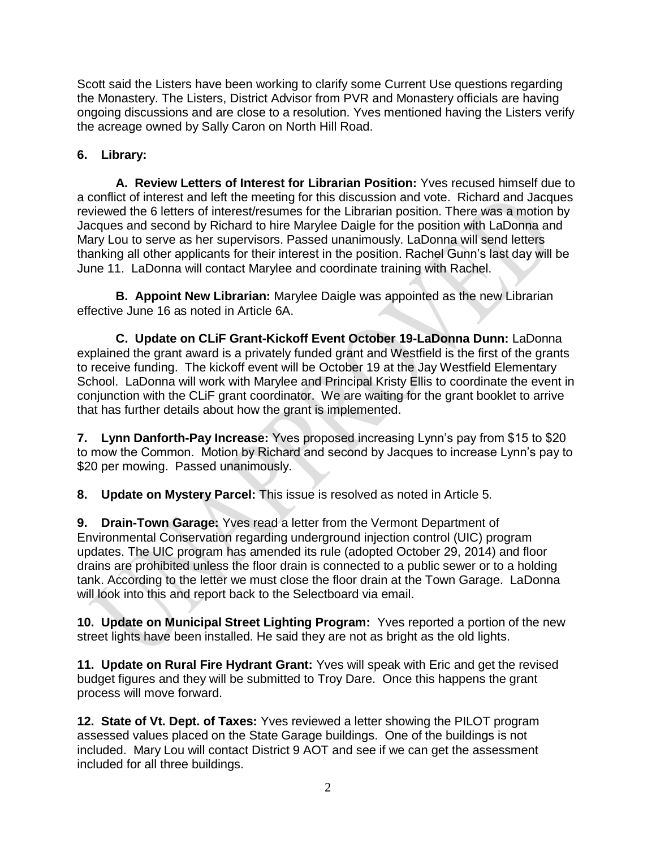Scott said the Listers have been working to clarify some Current Use questions regarding the Monastery. The Listers, District Advisor from PVR and Monastery officials are having ongoing discussions and are close to a resolution. Yves mentioned having the Listers verify the acreage owned by Sally Caron on North Hill Road.

# **6. Library:**

**A. Review Letters of Interest for Librarian Position:** Yves recused himself due to a conflict of interest and left the meeting for this discussion and vote. Richard and Jacques reviewed the 6 letters of interest/resumes for the Librarian position. There was a motion by Jacques and second by Richard to hire Marylee Daigle for the position with LaDonna and Mary Lou to serve as her supervisors. Passed unanimously. LaDonna will send letters thanking all other applicants for their interest in the position. Rachel Gunn's last day will be June 11. LaDonna will contact Marylee and coordinate training with Rachel.

**B. Appoint New Librarian:** Marylee Daigle was appointed as the new Librarian effective June 16 as noted in Article 6A.

**C. Update on CLiF Grant-Kickoff Event October 19-LaDonna Dunn:** LaDonna explained the grant award is a privately funded grant and Westfield is the first of the grants to receive funding. The kickoff event will be October 19 at the Jay Westfield Elementary School. LaDonna will work with Marylee and Principal Kristy Ellis to coordinate the event in conjunction with the CLiF grant coordinator. We are waiting for the grant booklet to arrive that has further details about how the grant is implemented.

**7. Lynn Danforth-Pay Increase:** Yves proposed increasing Lynn's pay from \$15 to \$20 to mow the Common. Motion by Richard and second by Jacques to increase Lynn's pay to \$20 per mowing. Passed unanimously.

**8. Update on Mystery Parcel:** This issue is resolved as noted in Article 5.

**9. Drain-Town Garage:** Yves read a letter from the Vermont Department of Environmental Conservation regarding underground injection control (UIC) program updates. The UIC program has amended its rule (adopted October 29, 2014) and floor drains are prohibited unless the floor drain is connected to a public sewer or to a holding tank. According to the letter we must close the floor drain at the Town Garage. LaDonna will look into this and report back to the Selectboard via email.

**10. Update on Municipal Street Lighting Program:** Yves reported a portion of the new street lights have been installed. He said they are not as bright as the old lights.

**11. Update on Rural Fire Hydrant Grant:** Yves will speak with Eric and get the revised budget figures and they will be submitted to Troy Dare. Once this happens the grant process will move forward.

**12. State of Vt. Dept. of Taxes:** Yves reviewed a letter showing the PILOT program assessed values placed on the State Garage buildings. One of the buildings is not included. Mary Lou will contact District 9 AOT and see if we can get the assessment included for all three buildings.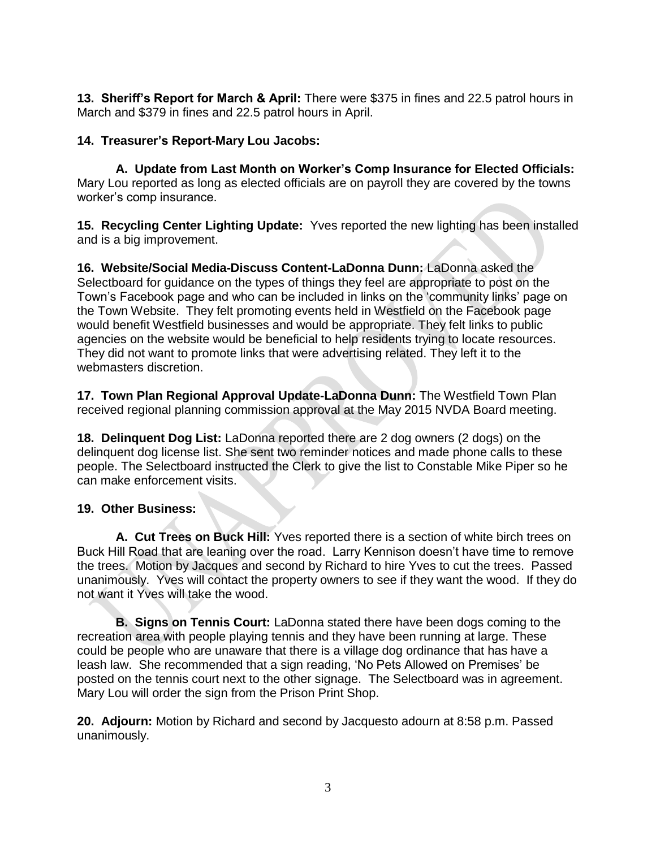**13. Sheriff's Report for March & April:** There were \$375 in fines and 22.5 patrol hours in March and \$379 in fines and 22.5 patrol hours in April.

### **14. Treasurer's Report-Mary Lou Jacobs:**

**A. Update from Last Month on Worker's Comp Insurance for Elected Officials:**  Mary Lou reported as long as elected officials are on payroll they are covered by the towns worker's comp insurance.

**15. Recycling Center Lighting Update:** Yves reported the new lighting has been installed and is a big improvement.

**16. Website/Social Media-Discuss Content-LaDonna Dunn:** LaDonna asked the Selectboard for guidance on the types of things they feel are appropriate to post on the Town's Facebook page and who can be included in links on the 'community links' page on the Town Website. They felt promoting events held in Westfield on the Facebook page would benefit Westfield businesses and would be appropriate. They felt links to public agencies on the website would be beneficial to help residents trying to locate resources. They did not want to promote links that were advertising related. They left it to the webmasters discretion.

**17. Town Plan Regional Approval Update-LaDonna Dunn:** The Westfield Town Plan received regional planning commission approval at the May 2015 NVDA Board meeting.

**18. Delinquent Dog List:** LaDonna reported there are 2 dog owners (2 dogs) on the delinquent dog license list. She sent two reminder notices and made phone calls to these people. The Selectboard instructed the Clerk to give the list to Constable Mike Piper so he can make enforcement visits.

### **19. Other Business:**

**A. Cut Trees on Buck Hill:** Yves reported there is a section of white birch trees on Buck Hill Road that are leaning over the road. Larry Kennison doesn't have time to remove the trees. Motion by Jacques and second by Richard to hire Yves to cut the trees. Passed unanimously. Yves will contact the property owners to see if they want the wood. If they do not want it Yves will take the wood.

**B. Signs on Tennis Court:** LaDonna stated there have been dogs coming to the recreation area with people playing tennis and they have been running at large. These could be people who are unaware that there is a village dog ordinance that has have a leash law. She recommended that a sign reading, 'No Pets Allowed on Premises' be posted on the tennis court next to the other signage. The Selectboard was in agreement. Mary Lou will order the sign from the Prison Print Shop.

**20. Adjourn:** Motion by Richard and second by Jacquesto adourn at 8:58 p.m. Passed unanimously.